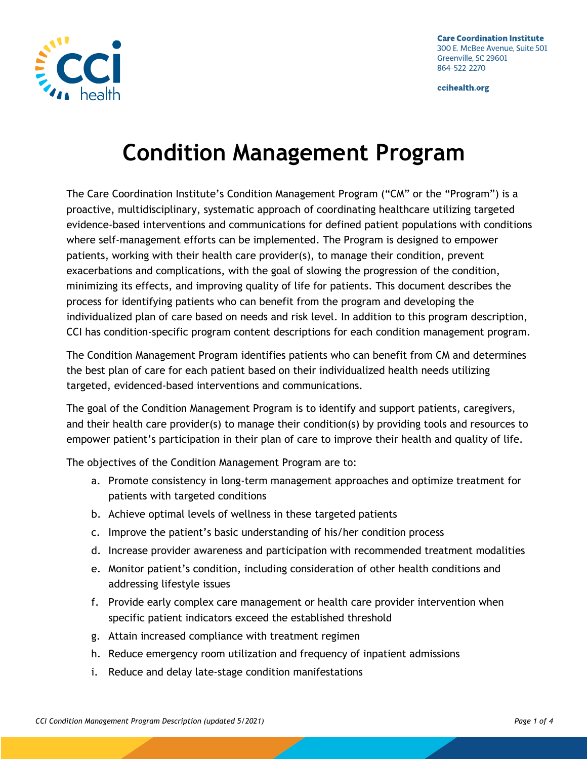

# **Condition Management Program**

The Care Coordination Institute's Condition Management Program ("CM" or the "Program") is a proactive, multidisciplinary, systematic approach of coordinating healthcare utilizing targeted evidence-based interventions and communications for defined patient populations with conditions where self-management efforts can be implemented. The Program is designed to empower patients, working with their health care provider(s), to manage their condition, prevent exacerbations and complications, with the goal of slowing the progression of the condition, minimizing its effects, and improving quality of life for patients. This document describes the process for identifying patients who can benefit from the program and developing the individualized plan of care based on needs and risk level. In addition to this program description, CCI has condition-specific program content descriptions for each condition management program.

The Condition Management Program identifies patients who can benefit from CM and determines the best plan of care for each patient based on their individualized health needs utilizing targeted, evidenced-based interventions and communications.

The goal of the Condition Management Program is to identify and support patients, caregivers, and their health care provider(s) to manage their condition(s) by providing tools and resources to empower patient's participation in their plan of care to improve their health and quality of life.

The objectives of the Condition Management Program are to:

- a. Promote consistency in long-term management approaches and optimize treatment for patients with targeted conditions
- b. Achieve optimal levels of wellness in these targeted patients
- c. Improve the patient's basic understanding of his/her condition process
- d. Increase provider awareness and participation with recommended treatment modalities
- e. Monitor patient's condition, including consideration of other health conditions and addressing lifestyle issues
- f. Provide early complex care management or health care provider intervention when specific patient indicators exceed the established threshold
- g. Attain increased compliance with treatment regimen
- h. Reduce emergency room utilization and frequency of inpatient admissions
- i. Reduce and delay late-stage condition manifestations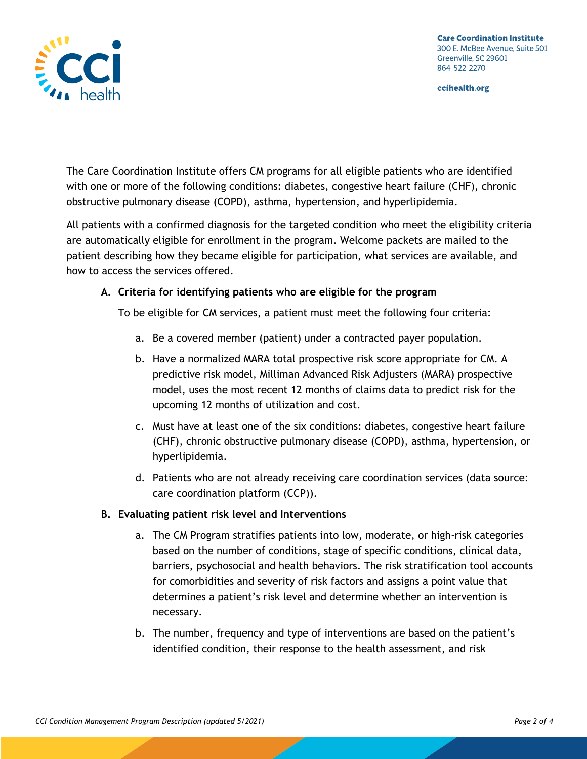

The Care Coordination Institute offers CM programs for all eligible patients who are identified with one or more of the following conditions: diabetes, congestive heart failure (CHF), chronic obstructive pulmonary disease (COPD), asthma, hypertension, and hyperlipidemia.

All patients with a confirmed diagnosis for the targeted condition who meet the eligibility criteria are automatically eligible for enrollment in the program. Welcome packets are mailed to the patient describing how they became eligible for participation, what services are available, and how to access the services offered.

# **A. Criteria for identifying patients who are eligible for the program**

To be eligible for CM services, a patient must meet the following four criteria:

- a. Be a covered member (patient) under a contracted payer population.
- b. Have a normalized MARA total prospective risk score appropriate for CM. A predictive risk model, Milliman Advanced Risk Adjusters (MARA) prospective model, uses the most recent 12 months of claims data to predict risk for the upcoming 12 months of utilization and cost.
- c. Must have at least one of the six conditions: diabetes, congestive heart failure (CHF), chronic obstructive pulmonary disease (COPD), asthma, hypertension, or hyperlipidemia.
- d. Patients who are not already receiving care coordination services (data source: care coordination platform (CCP)).

# **B. Evaluating patient risk level and Interventions**

- a. The CM Program stratifies patients into low, moderate, or high-risk categories based on the number of conditions, stage of specific conditions, clinical data, barriers, psychosocial and health behaviors. The risk stratification tool accounts for comorbidities and severity of risk factors and assigns a point value that determines a patient's risk level and determine whether an intervention is necessary.
- b. The number, frequency and type of interventions are based on the patient's identified condition, their response to the health assessment, and risk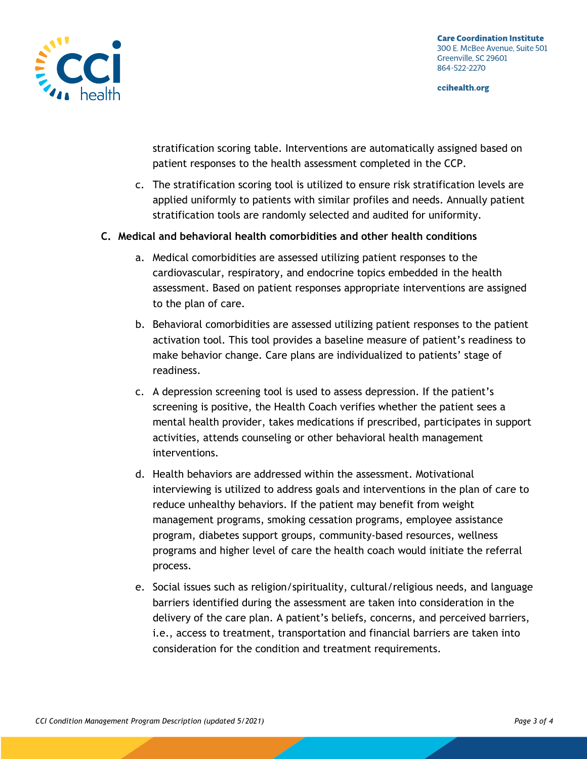

stratification scoring table. Interventions are automatically assigned based on patient responses to the health assessment completed in the CCP.

c. The stratification scoring tool is utilized to ensure risk stratification levels are applied uniformly to patients with similar profiles and needs. Annually patient stratification tools are randomly selected and audited for uniformity.

### **C. Medical and behavioral health comorbidities and other health conditions**

- a. Medical comorbidities are assessed utilizing patient responses to the cardiovascular, respiratory, and endocrine topics embedded in the health assessment. Based on patient responses appropriate interventions are assigned to the plan of care.
- b. Behavioral comorbidities are assessed utilizing patient responses to the patient activation tool. This tool provides a baseline measure of patient's readiness to make behavior change. Care plans are individualized to patients' stage of readiness.
- c. A depression screening tool is used to assess depression. If the patient's screening is positive, the Health Coach verifies whether the patient sees a mental health provider, takes medications if prescribed, participates in support activities, attends counseling or other behavioral health management interventions.
- d. Health behaviors are addressed within the assessment. Motivational interviewing is utilized to address goals and interventions in the plan of care to reduce unhealthy behaviors. If the patient may benefit from weight management programs, smoking cessation programs, employee assistance program, diabetes support groups, community-based resources, wellness programs and higher level of care the health coach would initiate the referral process.
- e. Social issues such as religion/spirituality, cultural/religious needs, and language barriers identified during the assessment are taken into consideration in the delivery of the care plan. A patient's beliefs, concerns, and perceived barriers, i.e., access to treatment, transportation and financial barriers are taken into consideration for the condition and treatment requirements.